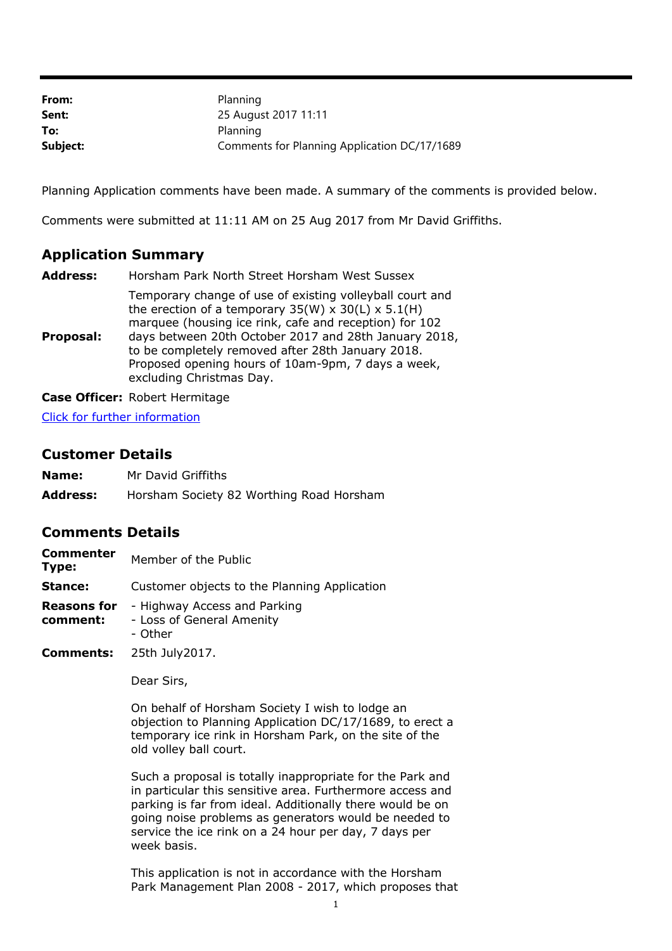| From:    | Planning                                     |
|----------|----------------------------------------------|
| Sent:    | 25 August 2017 11:11                         |
| To:      | Planning                                     |
| Subject: | Comments for Planning Application DC/17/1689 |

Planning Application comments have been made. A summary of the comments is provided below.

Comments were submitted at 11:11 AM on 25 Aug 2017 from Mr David Griffiths.

## **Application Summary**

| <b>Address:</b> | Horsham Park North Street Horsham West Sussex                                                                                                                                                                                                                                                                                                                                        |
|-----------------|--------------------------------------------------------------------------------------------------------------------------------------------------------------------------------------------------------------------------------------------------------------------------------------------------------------------------------------------------------------------------------------|
| Proposal:       | Temporary change of use of existing volleyball court and<br>the erection of a temporary $35(W) \times 30(L) \times 5.1(H)$<br>marquee (housing ice rink, cafe and reception) for 102<br>days between 20th October 2017 and 28th January 2018,<br>to be completely removed after 28th January 2018.<br>Proposed opening hours of 10am-9pm, 7 days a week,<br>excluding Christmas Day. |
|                 |                                                                                                                                                                                                                                                                                                                                                                                      |

**Case Officer:** Robert Hermitage

[Click for further information](https://public-access.horsham.gov.uk/public-access//centralDistribution.do?caseType=Application&keyVal=OTT35VIJIG900)

## **Customer Details**

| Name: |  |  | Mr David Griffiths |
|-------|--|--|--------------------|
|-------|--|--|--------------------|

**Address:** Horsham Society 82 Worthing Road Horsham

## **Comments Details**

| <b>Commenter</b><br>Type:      | Member of the Public                                                 |
|--------------------------------|----------------------------------------------------------------------|
| Stance:                        | Customer objects to the Planning Application                         |
| <b>Reasons for</b><br>comment: | - Highway Access and Parking<br>- Loss of General Amenity<br>- Other |

**Comments:** 25th July2017.

Dear Sirs,

On behalf of Horsham Society I wish to lodge an objection to Planning Application DC/17/1689, to erect a temporary ice rink in Horsham Park, on the site of the old volley ball court.

Such a proposal is totally inappropriate for the Park and in particular this sensitive area. Furthermore access and parking is far from ideal. Additionally there would be on going noise problems as generators would be needed to service the ice rink on a 24 hour per day, 7 days per week basis.

This application is not in accordance with the Horsham Park Management Plan 2008 - 2017, which proposes that